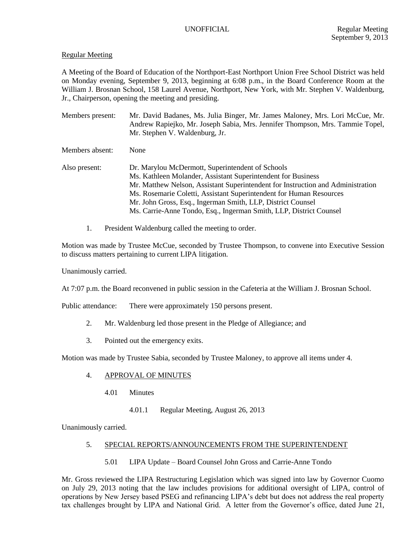# Regular Meeting

A Meeting of the Board of Education of the Northport-East Northport Union Free School District was held on Monday evening, September 9, 2013, beginning at 6:08 p.m., in the Board Conference Room at the William J. Brosnan School, 158 Laurel Avenue, Northport, New York, with Mr. Stephen V. Waldenburg, Jr., Chairperson, opening the meeting and presiding.

Members present: Mr. David Badanes, Ms. Julia Binger, Mr. James Maloney, Mrs. Lori McCue, Mr. Andrew Rapiejko, Mr. Joseph Sabia, Mrs. Jennifer Thompson, Mrs. Tammie Topel, Mr. Stephen V. Waldenburg, Jr.

Members absent: None

- Also present: Dr. Marylou McDermott, Superintendent of Schools Ms. Kathleen Molander, Assistant Superintendent for Business Mr. Matthew Nelson, Assistant Superintendent for Instruction and Administration Ms. Rosemarie Coletti, Assistant Superintendent for Human Resources Mr. John Gross, Esq., Ingerman Smith, LLP, District Counsel Ms. Carrie-Anne Tondo, Esq., Ingerman Smith, LLP, District Counsel
	- 1. President Waldenburg called the meeting to order.

Motion was made by Trustee McCue, seconded by Trustee Thompson, to convene into Executive Session to discuss matters pertaining to current LIPA litigation.

Unanimously carried.

At 7:07 p.m. the Board reconvened in public session in the Cafeteria at the William J. Brosnan School.

Public attendance: There were approximately 150 persons present.

- 2. Mr. Waldenburg led those present in the Pledge of Allegiance; and
- 3. Pointed out the emergency exits.

Motion was made by Trustee Sabia, seconded by Trustee Maloney, to approve all items under 4.

# 4. APPROVAL OF MINUTES

- 4.01 Minutes
	- 4.01.1 Regular Meeting, August 26, 2013

Unanimously carried.

# 5. SPECIAL REPORTS/ANNOUNCEMENTS FROM THE SUPERINTENDENT

5.01 LIPA Update – Board Counsel John Gross and Carrie-Anne Tondo

Mr. Gross reviewed the LIPA Restructuring Legislation which was signed into law by Governor Cuomo on July 29, 2013 noting that the law includes provisions for additional oversight of LIPA, control of operations by New Jersey based PSEG and refinancing LIPA's debt but does not address the real property tax challenges brought by LIPA and National Grid. A letter from the Governor's office, dated June 21,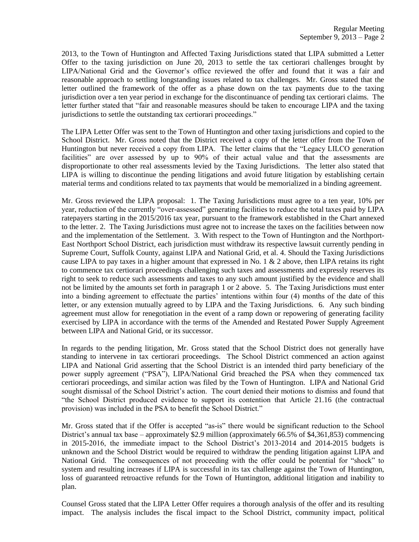2013, to the Town of Huntington and Affected Taxing Jurisdictions stated that LIPA submitted a Letter Offer to the taxing jurisdiction on June 20, 2013 to settle the tax certiorari challenges brought by LIPA/National Grid and the Governor's office reviewed the offer and found that it was a fair and reasonable approach to settling longstanding issues related to tax challenges. Mr. Gross stated that the letter outlined the framework of the offer as a phase down on the tax payments due to the taxing jurisdiction over a ten year period in exchange for the discontinuance of pending tax certiorari claims. The letter further stated that "fair and reasonable measures should be taken to encourage LIPA and the taxing jurisdictions to settle the outstanding tax certiorari proceedings."

The LIPA Letter Offer was sent to the Town of Huntington and other taxing jurisdictions and copied to the School District. Mr. Gross noted that the District received a copy of the letter offer from the Town of Huntington but never received a copy from LIPA. The letter claims that the "Legacy LILCO generation facilities" are over assessed by up to 90% of their actual value and that the assessments are disproportionate to other real assessments levied by the Taxing Jurisdictions. The letter also stated that LIPA is willing to discontinue the pending litigations and avoid future litigation by establishing certain material terms and conditions related to tax payments that would be memorialized in a binding agreement.

Mr. Gross reviewed the LIPA proposal: 1. The Taxing Jurisdictions must agree to a ten year, 10% per year, reduction of the currently "over-assessed" generating facilities to reduce the total taxes paid by LIPA ratepayers starting in the 2015/2016 tax year, pursuant to the framework established in the Chart annexed to the letter. 2. The Taxing Jurisdictions must agree not to increase the taxes on the facilities between now and the implementation of the Settlement. 3. With respect to the Town of Huntington and the Northport-East Northport School District, each jurisdiction must withdraw its respective lawsuit currently pending in Supreme Court, Suffolk County, against LIPA and National Grid, et al. 4. Should the Taxing Jurisdictions cause LIPA to pay taxes in a higher amount that expressed in No. 1  $\&$  2 above, then LIPA retains its right to commence tax certiorari proceedings challenging such taxes and assessments and expressly reserves its right to seek to reduce such assessments and taxes to any such amount justified by the evidence and shall not be limited by the amounts set forth in paragraph 1 or 2 above. 5. The Taxing Jurisdictions must enter into a binding agreement to effectuate the parties' intentions within four (4) months of the date of this letter, or any extension mutually agreed to by LIPA and the Taxing Jurisdictions. 6. Any such binding agreement must allow for renegotiation in the event of a ramp down or repowering of generating facility exercised by LIPA in accordance with the terms of the Amended and Restated Power Supply Agreement between LIPA and National Grid, or its successor.

In regards to the pending litigation, Mr. Gross stated that the School District does not generally have standing to intervene in tax certiorari proceedings. The School District commenced an action against LIPA and National Grid asserting that the School District is an intended third party beneficiary of the power supply agreement ("PSA"), LIPA/National Grid breached the PSA when they commenced tax certiorari proceedings, and similar action was filed by the Town of Huntington. LIPA and National Grid sought dismissal of the School District's action. The court denied their motions to dismiss and found that "the School District produced evidence to support its contention that Article 21.16 (the contractual provision) was included in the PSA to benefit the School District."

Mr. Gross stated that if the Offer is accepted "as-is" there would be significant reduction to the School District's annual tax base – approximately \$2.9 million (approximately 66.5% of \$4,361,853) commencing in 2015-2016, the immediate impact to the School District's 2013-2014 and 2014-2015 budgets is unknown and the School District would be required to withdraw the pending litigation against LIPA and National Grid. The consequences of not proceeding with the offer could be potential for "shock" to system and resulting increases if LIPA is successful in its tax challenge against the Town of Huntington, loss of guaranteed retroactive refunds for the Town of Huntington, additional litigation and inability to plan.

Counsel Gross stated that the LIPA Letter Offer requires a thorough analysis of the offer and its resulting impact. The analysis includes the fiscal impact to the School District, community impact, political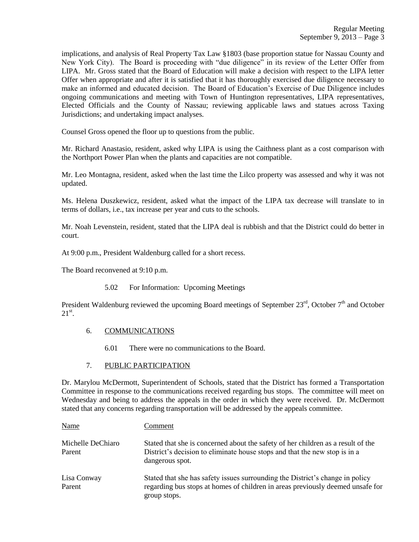implications, and analysis of Real Property Tax Law §1803 (base proportion statue for Nassau County and New York City). The Board is proceeding with "due diligence" in its review of the Letter Offer from LIPA. Mr. Gross stated that the Board of Education will make a decision with respect to the LIPA letter Offer when appropriate and after it is satisfied that it has thoroughly exercised due diligence necessary to make an informed and educated decision. The Board of Education's Exercise of Due Diligence includes ongoing communications and meeting with Town of Huntington representatives, LIPA representatives, Elected Officials and the County of Nassau; reviewing applicable laws and statues across Taxing Jurisdictions; and undertaking impact analyses.

Counsel Gross opened the floor up to questions from the public.

Mr. Richard Anastasio, resident, asked why LIPA is using the Caithness plant as a cost comparison with the Northport Power Plan when the plants and capacities are not compatible.

Mr. Leo Montagna, resident, asked when the last time the Lilco property was assessed and why it was not updated.

Ms. Helena Duszkewicz, resident, asked what the impact of the LIPA tax decrease will translate to in terms of dollars, i.e., tax increase per year and cuts to the schools.

Mr. Noah Levenstein, resident, stated that the LIPA deal is rubbish and that the District could do better in court.

At 9:00 p.m., President Waldenburg called for a short recess.

The Board reconvened at 9:10 p.m.

5.02 For Information: Upcoming Meetings

President Waldenburg reviewed the upcoming Board meetings of September  $23<sup>rd</sup>$ , October  $7<sup>th</sup>$  and October  $21^{\rm st}$ .

### 6. COMMUNICATIONS

6.01 There were no communications to the Board.

### 7. PUBLIC PARTICIPATION

Dr. Marylou McDermott, Superintendent of Schools, stated that the District has formed a Transportation Committee in response to the communications received regarding bus stops. The committee will meet on Wednesday and being to address the appeals in the order in which they were received. Dr. McDermott stated that any concerns regarding transportation will be addressed by the appeals committee.

| Name                        | Comment                                                                                                                                                                           |
|-----------------------------|-----------------------------------------------------------------------------------------------------------------------------------------------------------------------------------|
| Michelle DeChiaro<br>Parent | Stated that she is concerned about the safety of her children as a result of the<br>District's decision to eliminate house stops and that the new stop is in a<br>dangerous spot. |
| Lisa Conway<br>Parent       | Stated that she has safety issues surrounding the District's change in policy<br>regarding bus stops at homes of children in areas previously deemed unsafe for<br>group stops.   |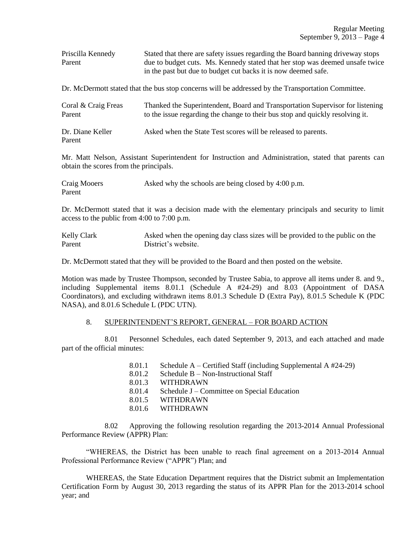| Priscilla Kennedy | Stated that there are safety issues regarding the Board banning driveway stops |  |  |  |  |  |  |
|-------------------|--------------------------------------------------------------------------------|--|--|--|--|--|--|
| Parent            | due to budget cuts. Ms. Kennedy stated that her stop was deemed unsafe twice   |  |  |  |  |  |  |
|                   | in the past but due to budget cut backs it is now deemed safe.                 |  |  |  |  |  |  |

Dr. McDermott stated that the bus stop concerns will be addressed by the Transportation Committee.

| Coral & Craig Freas        | Thanked the Superintendent, Board and Transportation Supervisor for listening |  |  |  |  |
|----------------------------|-------------------------------------------------------------------------------|--|--|--|--|
| Parent                     | to the issue regarding the change to their bus stop and quickly resolving it. |  |  |  |  |
| Dr. Diane Keller<br>Parent | Asked when the State Test scores will be released to parents.                 |  |  |  |  |

Mr. Matt Nelson, Assistant Superintendent for Instruction and Administration, stated that parents can obtain the scores from the principals.

| Craig Mooers | Asked why the schools are being closed by 4:00 p.m. |
|--------------|-----------------------------------------------------|
| Parent       |                                                     |

Dr. McDermott stated that it was a decision made with the elementary principals and security to limit access to the public from 4:00 to 7:00 p.m.

Kelly Clark Asked when the opening day class sizes will be provided to the public on the Parent District's website.

Dr. McDermott stated that they will be provided to the Board and then posted on the website.

Motion was made by Trustee Thompson, seconded by Trustee Sabia, to approve all items under 8. and 9., including Supplemental items 8.01.1 (Schedule A #24-29) and 8.03 (Appointment of DASA Coordinators), and excluding withdrawn items 8.01.3 Schedule D (Extra Pay), 8.01.5 Schedule K (PDC NASA), and 8.01.6 Schedule L (PDC UTN).

### 8. SUPERINTENDENT'S REPORT, GENERAL – FOR BOARD ACTION

8.01 Personnel Schedules, each dated September 9, 2013, and each attached and made part of the official minutes:

| 8.01.1 | Schedule $A$ – Certified Staff (including Supplemental A $#24-29$ ) |
|--------|---------------------------------------------------------------------|
| 8.01.2 | Schedule $B - Non-Instructional Staff$                              |
| 8.01.3 | WITHDRAWN                                                           |
| 8.01.4 | Schedule J – Committee on Special Education                         |
| 8.01.5 | <b>WITHDRAWN</b>                                                    |
|        | 8.01.6 WITHDRAWN                                                    |

8.02 Approving the following resolution regarding the 2013-2014 Annual Professional Performance Review (APPR) Plan:

"WHEREAS, the District has been unable to reach final agreement on a 2013-2014 Annual Professional Performance Review ("APPR") Plan; and

WHEREAS, the State Education Department requires that the District submit an Implementation Certification Form by August 30, 2013 regarding the status of its APPR Plan for the 2013-2014 school year; and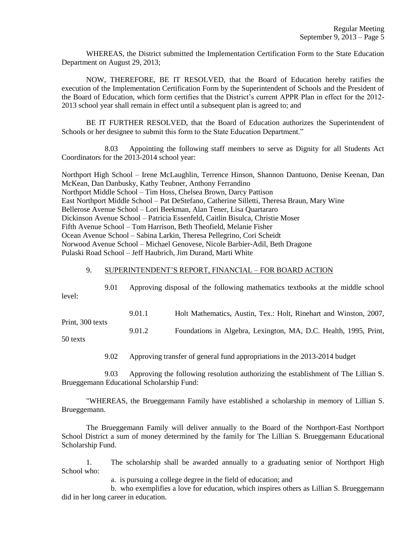WHEREAS, the District submitted the Implementation Certification Form to the State Education Department on August 29, 2013;

NOW, THEREFORE, BE IT RESOLVED, that the Board of Education hereby ratifies the execution of the Implementation Certification Form by the Superintendent of Schools and the President of the Board of Education, which form certifies that the District's current APPR Plan in effect for the 2012- 2013 school year shall remain in effect until a subsequent plan is agreed to; and

BE IT FURTHER RESOLVED, that the Board of Education authorizes the Superintendent of Schools or her designee to submit this form to the State Education Department."

8.03 Appointing the following staff members to serve as Dignity for all Students Act Coordinators for the 2013-2014 school year:

Northport High School – Irene McLaughlin, Terrence Hinson, Shannon Dantuono, Denise Keenan, Dan McKean, Dan Danbusky, Kathy Teubner, Anthony Ferrandino Northport Middle School – Tim Hoss, Chelsea Brown, Darcy Pattison East Northport Middle School – Pat DeStefano, Catherine Silletti, Theresa Braun, Mary Wine Bellerose Avenue School – Lori Beekman, Alan Tener, Lisa Quartararo Dickinson Avenue School – Patricia Essenfeld, Caitlin Bisulca, Christie Moser Fifth Avenue School – Tom Harrison, Beth Theofield, Melanie Fisher Ocean Avenue School – Sabina Larkin, Theresa Pellegrino, Cori Scheidt Norwood Avenue School – Michael Genovese, Nicole Barbier-Adil, Beth Dragone Pulaski Road School – Jeff Haubrich, Jim Durand, Marti White

### 9. SUPERINTENDENT'S REPORT, FINANCIAL – FOR BOARD ACTION

| level: | 9.01 | Approving disposal of the following mathematics textbooks at the middle school |                                                                   |  |  |  |  |
|--------|------|--------------------------------------------------------------------------------|-------------------------------------------------------------------|--|--|--|--|
|        |      | 9.01.1                                                                         | Holt Mathematics, Austin, Tex.: Holt, Rinehart and Winston, 2007, |  |  |  |  |

Print, 300 texts 9.01.2 Foundations in Algebra, Lexington, MA, D.C. Health, 1995, Print,

50 texts

9.02 Approving transfer of general fund appropriations in the 2013-2014 budget

9.03 Approving the following resolution authorizing the establishment of The Lillian S. Brueggemann Educational Scholarship Fund:

"WHEREAS, the Brueggemann Family have established a scholarship in memory of Lillian S. Brueggemann.

The Brueggemann Family will deliver annually to the Board of the Northport-East Northport School District a sum of money determined by the family for The Lillian S. Brueggemann Educational Scholarship Fund.

1. The scholarship shall be awarded annually to a graduating senior of Northport High School who:

a. is pursuing a college degree in the field of education; and

b. who exemplifies a love for education, which inspires others as Lillian S. Brueggemann did in her long career in education.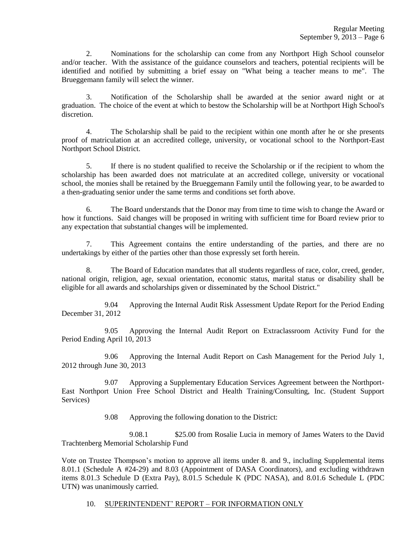2. Nominations for the scholarship can come from any Northport High School counselor and/or teacher. With the assistance of the guidance counselors and teachers, potential recipients will be identified and notified by submitting a brief essay on "What being a teacher means to me". The Brueggemann family will select the winner.

3. Notification of the Scholarship shall be awarded at the senior award night or at graduation. The choice of the event at which to bestow the Scholarship will be at Northport High School's discretion.

4. The Scholarship shall be paid to the recipient within one month after he or she presents proof of matriculation at an accredited college, university, or vocational school to the Northport-East Northport School District.

5. If there is no student qualified to receive the Scholarship or if the recipient to whom the scholarship has been awarded does not matriculate at an accredited college, university or vocational school, the monies shall be retained by the Brueggemann Family until the following year, to be awarded to a then-graduating senior under the same terms and conditions set forth above.

6. The Board understands that the Donor may from time to time wish to change the Award or how it functions. Said changes will be proposed in writing with sufficient time for Board review prior to any expectation that substantial changes will be implemented.

7. This Agreement contains the entire understanding of the parties, and there are no undertakings by either of the parties other than those expressly set forth herein.

8. The Board of Education mandates that all students regardless of race, color, creed, gender, national origin, religion, age, sexual orientation, economic status, marital status or disability shall be eligible for all awards and scholarships given or disseminated by the School District."

9.04 Approving the Internal Audit Risk Assessment Update Report for the Period Ending December 31, 2012

9.05 Approving the Internal Audit Report on Extraclassroom Activity Fund for the Period Ending April 10, 2013

9.06 Approving the Internal Audit Report on Cash Management for the Period July 1, 2012 through June 30, 2013

9.07 Approving a Supplementary Education Services Agreement between the Northport-East Northport Union Free School District and Health Training/Consulting, Inc. (Student Support Services)

9.08 Approving the following donation to the District:

9.08.1 \$25.00 from Rosalie Lucia in memory of James Waters to the David Trachtenberg Memorial Scholarship Fund

Vote on Trustee Thompson's motion to approve all items under 8. and 9., including Supplemental items 8.01.1 (Schedule A #24-29) and 8.03 (Appointment of DASA Coordinators), and excluding withdrawn items 8.01.3 Schedule D (Extra Pay), 8.01.5 Schedule K (PDC NASA), and 8.01.6 Schedule L (PDC UTN) was unanimously carried.

10. SUPERINTENDENT' REPORT – FOR INFORMATION ONLY